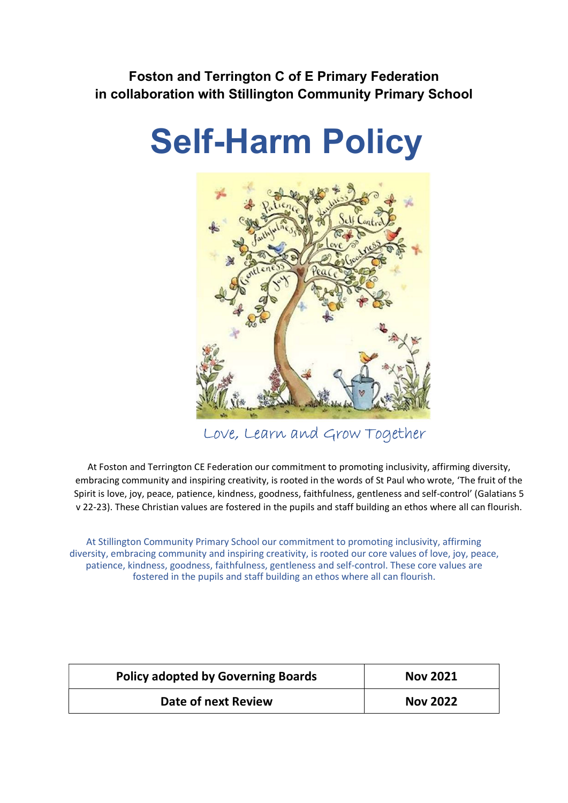Foston and Terrington C of E Primary Federation in collaboration with Stillington Community Primary School

# Self-Harm Policy



Love, Learn and Grow Together

At Foston and Terrington CE Federation our commitment to promoting inclusivity, affirming diversity, embracing community and inspiring creativity, is rooted in the words of St Paul who wrote, 'The fruit of the Spirit is love, joy, peace, patience, kindness, goodness, faithfulness, gentleness and self-control' (Galatians 5 v 22-23). These Christian values are fostered in the pupils and staff building an ethos where all can flourish.

At Stillington Community Primary School our commitment to promoting inclusivity, affirming diversity, embracing community and inspiring creativity, is rooted our core values of love, joy, peace, patience, kindness, goodness, faithfulness, gentleness and self-control. These core values are fostered in the pupils and staff building an ethos where all can flourish.

| <b>Policy adopted by Governing Boards</b> | <b>Nov 2021</b> |  |
|-------------------------------------------|-----------------|--|
| Date of next Review                       | <b>Nov 2022</b> |  |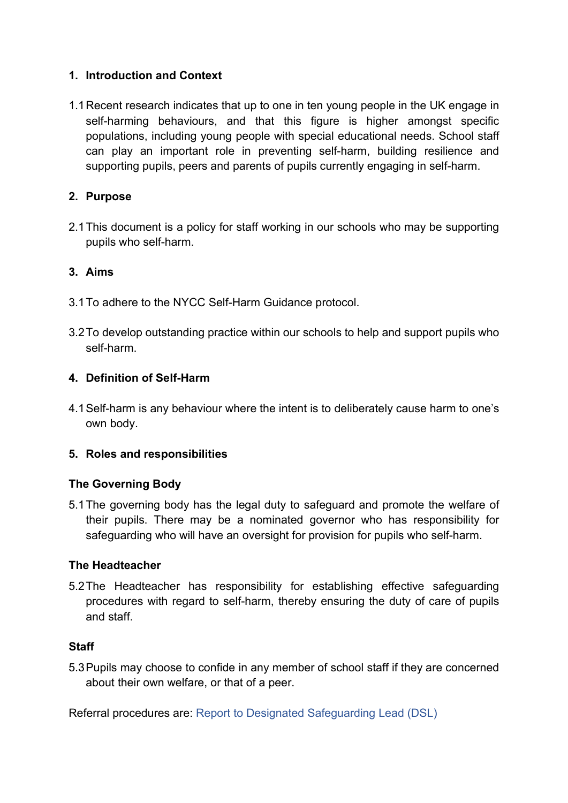## 1. Introduction and Context

1.1 Recent research indicates that up to one in ten young people in the UK engage in self-harming behaviours, and that this figure is higher amongst specific populations, including young people with special educational needs. School staff can play an important role in preventing self-harm, building resilience and supporting pupils, peers and parents of pupils currently engaging in self-harm.

## 2. Purpose

2.1 This document is a policy for staff working in our schools who may be supporting pupils who self-harm.

## 3. Aims

- 3.1 To adhere to the NYCC Self-Harm Guidance protocol.
- 3.2 To develop outstanding practice within our schools to help and support pupils who self-harm.

## 4. Definition of Self-Harm

4.1 Self-harm is any behaviour where the intent is to deliberately cause harm to one's own body.

#### 5. Roles and responsibilities

#### The Governing Body

5.1 The governing body has the legal duty to safeguard and promote the welfare of their pupils. There may be a nominated governor who has responsibility for safeguarding who will have an oversight for provision for pupils who self-harm.

#### The Headteacher

5.2 The Headteacher has responsibility for establishing effective safeguarding procedures with regard to self-harm, thereby ensuring the duty of care of pupils and staff.

#### **Staff**

5.3 Pupils may choose to confide in any member of school staff if they are concerned about their own welfare, or that of a peer.

Referral procedures are: Report to Designated Safeguarding Lead (DSL)